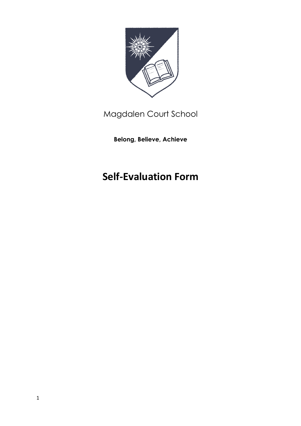

Magdalen Court School

**Belong, Believe, Achieve**

# **Self-Evaluation Form**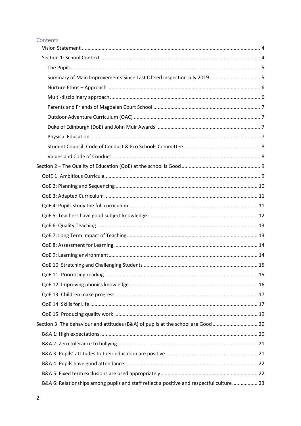# Contents

|  | Section 3: The behaviour and attitudes (B&A) of pupils at the school are Good  20        |  |
|--|------------------------------------------------------------------------------------------|--|
|  |                                                                                          |  |
|  |                                                                                          |  |
|  |                                                                                          |  |
|  |                                                                                          |  |
|  |                                                                                          |  |
|  | B&A 6: Relationships among pupils and staff reflect a positive and respectful culture 23 |  |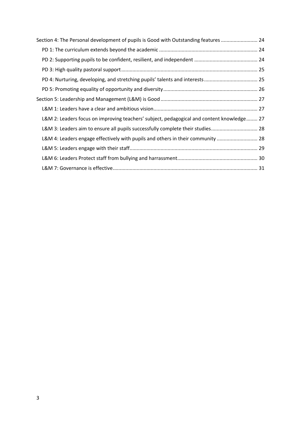| Section 4: The Personal development of pupils is Good with Outstanding features  24       |  |
|-------------------------------------------------------------------------------------------|--|
|                                                                                           |  |
|                                                                                           |  |
|                                                                                           |  |
|                                                                                           |  |
|                                                                                           |  |
|                                                                                           |  |
|                                                                                           |  |
| L&M 2: Leaders focus on improving teachers' subject, pedagogical and content knowledge 27 |  |
| L&M 3: Leaders aim to ensure all pupils successfully complete their studies 28            |  |
| L&M 4: Leaders engage effectively with pupils and others in their community  28           |  |
|                                                                                           |  |
|                                                                                           |  |
|                                                                                           |  |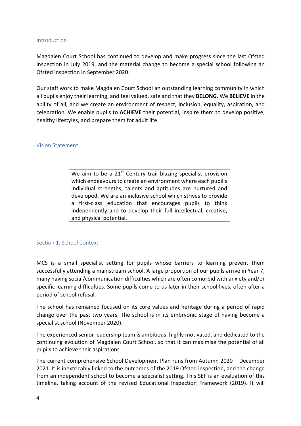# Introduction

Magdalen Court School has continued to develop and make progress since the last Ofsted inspection in July 2019, and the material change to become a special school following an Ofsted inspection in September 2020.

Our staff work to make Magdalen Court School an outstanding learning community in which all pupils enjoy their learning, and feel valued, safe and that they **BELONG.** We **BELIEVE** in the ability of all, and we create an environment of respect, inclusion, equality, aspiration, and celebration. We enable pupils to **ACHIEVE** their potential, inspire them to develop positive, healthy lifestyles, and prepare them for adult life.

### Vision Statement

We aim to be a 21<sup>st</sup> Century trail blazing specialist provision which endeavours to create an environment where each pupil's individual strengths, talents and aptitudes are nurtured and developed. We are an inclusive school which strives to provide a first-class education that encourages pupils to think independently and to develop their full intellectual, creative, and physical potential.

# Section 1: School Context

MCS is a small specialist setting for pupils whose barriers to learning prevent them successfully attending a mainstream school. A large proportion of our pupils arrive in Year 7, many having social/communication difficulties which are often comorbid with anxiety and/or specific learning difficulties. Some pupils come to us later in their school lives, often after a period of school refusal.

The school has remained focused on its core values and heritage during a period of rapid change over the past two years. The school is in its embryonic stage of having become a specialist school (November 2020).

The experienced senior leadership team is ambitious, highly motivated, and dedicated to the continuing evolution of Magdalen Court School, so that it can maximise the potential of all pupils to achieve their aspirations.

The current comprehensive School Development Plan runs from Autumn 2020 – December 2021. It is inextricably linked to the outcomes of the 2019 Ofsted inspection, and the change from an independent school to become a specialist setting. This SEF is an evaluation of this timeline, taking account of the revised Educational Inspection Framework (2019). It will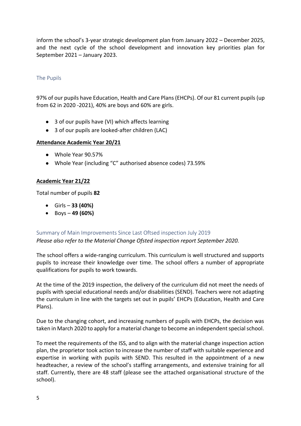inform the school's 3-year strategic development plan from January 2022 – December 2025, and the next cycle of the school development and innovation key priorities plan for September 2021 – January 2023.

# The Pupils

97% of our pupils have Education, Health and Care Plans (EHCPs). Of our 81 current pupils (up from 62 in 2020 -2021), 40% are boys and 60% are girls.

- 3 of our pupils have (VI) which affects learning
- 3 of our pupils are looked-after children (LAC)

# **Attendance Academic Year 20/21**

- Whole Year 90.57%
- Whole Year (including "C" authorised absence codes) 73.59%

# **Academic Year 21/22**

Total number of pupils **82**

- Girls **33 (40%)**
- Boys **49 (60%)**

# Summary of Main Improvements Since Last Oftsed inspection July 2019 *Please also refer to the Material Change Ofsted inspection report September 2020.*

The school offers a wide-ranging curriculum. This curriculum is well structured and supports pupils to increase their knowledge over time. The school offers a number of appropriate qualifications for pupils to work towards.

At the time of the 2019 inspection, the delivery of the curriculum did not meet the needs of pupils with special educational needs and/or disabilities (SEND). Teachers were not adapting the curriculum in line with the targets set out in pupils' EHCPs (Education, Health and Care Plans).

Due to the changing cohort, and increasing numbers of pupils with EHCPs, the decision was taken in March 2020 to apply for a material change to become an independent special school.

To meet the requirements of the ISS, and to align with the material change inspection action plan, the proprietor took action to increase the number of staff with suitable experience and expertise in working with pupils with SEND. This resulted in the appointment of a new headteacher, a review of the school's staffing arrangements, and extensive training for all staff. Currently, there are 48 staff (please see the attached organisational structure of the school).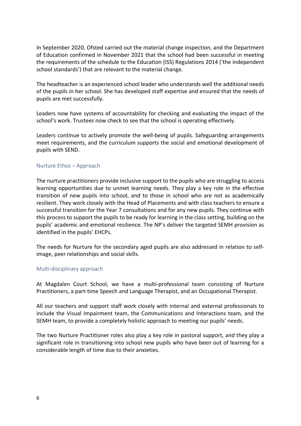In September 2020, Ofsted carried out the material change inspection, and the Department of Education confirmed in November 2021 that the school had been successful in meeting the requirements of the schedule to the Education (ISS) Regulations 2014 ('the independent school standards') that are relevant to the material change.

The headteacher is an experienced school leader who understands well the additional needs of the pupils in her school. She has developed staff expertise and ensured that the needs of pupils are met successfully.

Leaders now have systems of accountability for checking and evaluating the impact of the school's work. Trustees now check to see that the school is operating effectively.

Leaders continue to actively promote the well-being of pupils. Safeguarding arrangements meet requirements, and the curriculum supports the social and emotional development of pupils with SEND.

### Nurture Ethos – Approach

The nurture practitioners provide inclusive support to the pupils who are struggling to access learning opportunities due to unmet learning needs. They play a key role in the effective transition of new pupils into school, and to those in school who are not as academically resilient. They work closely with the Head of Placements and with class teachers to ensure a successful transition for the Year 7 consultations and for any new pupils. They continue with this process to support the pupils to be ready for learning in the class setting, building on the pupils' academic and emotional resilience. The NP's deliver the targeted SEMH provision as identified in the pupils' EHCPs.

The needs for Nurture for the secondary aged pupils are also addressed in relation to selfimage, peer relationships and social skills.

#### Multi-disciplinary approach

At Magdalen Court School, we have a multi-professional team consisting of Nurture Practitioners, a part-time Speech and Language Therapist, and an Occupational Therapist.

All our teachers and support staff work closely with internal and external professionals to include the Visual Impairment team, the Communications and Interactions team, and the SEMH team, to provide a completely holistic approach to meeting our pupils' needs.

The two Nurture Practitioner roles also play a key role in pastoral support, and they play a significant role in transitioning into school new pupils who have been out of learning for a considerable length of time due to their anxieties.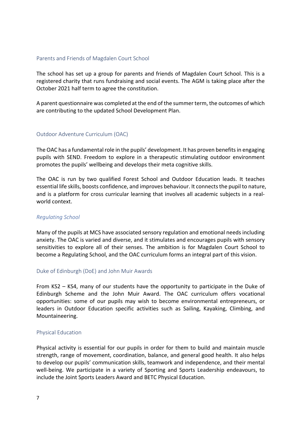## Parents and Friends of Magdalen Court School

The school has set up a group for parents and friends of Magdalen Court School. This is a registered charity that runs fundraising and social events. The AGM is taking place after the October 2021 half term to agree the constitution.

A parent questionnaire was completed at the end of the summer term, the outcomes of which are contributing to the updated School Development Plan.

# Outdoor Adventure Curriculum (OAC)

The OAC has a fundamental role in the pupils' development. It has proven benefits in engaging pupils with SEND. Freedom to explore in a therapeutic stimulating outdoor environment promotes the pupils' wellbeing and develops their meta cognitive skills.

The OAC is run by two qualified Forest School and Outdoor Education leads. It teaches essential life skills, boosts confidence, and improves behaviour. It connects the pupil to nature, and is a platform for cross curricular learning that involves all academic subjects in a realworld context.

#### *Regulating School*

Many of the pupils at MCS have associated sensory regulation and emotional needs including anxiety. The OAC is varied and diverse, and it stimulates and encourages pupils with sensory sensitivities to explore all of their senses. The ambition is for Magdalen Court School to become a Regulating School, and the OAC curriculum forms an integral part of this vision.

#### Duke of Edinburgh (DoE) and John Muir Awards

From KS2 – KS4, many of our students have the opportunity to participate in the Duke of Edinburgh Scheme and the John Muir Award. The OAC curriculum offers vocational opportunities: some of our pupils may wish to become environmental entrepreneurs, or leaders in Outdoor Education specific activities such as Sailing, Kayaking, Climbing, and Mountaineering.

#### Physical Education

Physical activity is essential for our pupils in order for them to build and maintain muscle strength, range of movement, coordination, balance, and general good health. It also helps to develop our pupils' communication skills, teamwork and independence, and their mental well-being. We participate in a variety of Sporting and Sports Leadership endeavours, to include the Joint Sports Leaders Award and BETC Physical Education.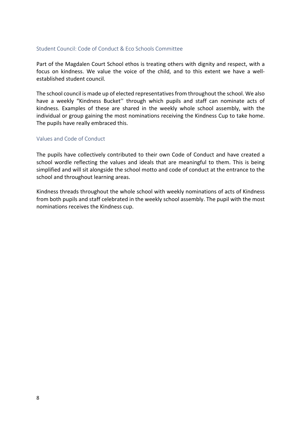# Student Council: Code of Conduct & Eco Schools Committee

Part of the Magdalen Court School ethos is treating others with dignity and respect, with a focus on kindness. We value the voice of the child, and to this extent we have a wellestablished student council.

The school council is made up of elected representatives from throughout the school. We also have a weekly "Kindness Bucket'' through which pupils and staff can nominate acts of kindness. Examples of these are shared in the weekly whole school assembly, with the individual or group gaining the most nominations receiving the Kindness Cup to take home. The pupils have really embraced this.

# Values and Code of Conduct

The pupils have collectively contributed to their own Code of Conduct and have created a school wordle reflecting the values and ideals that are meaningful to them. This is being simplified and will sit alongside the school motto and code of conduct at the entrance to the school and throughout learning areas.

Kindness threads throughout the whole school with weekly nominations of acts of Kindness from both pupils and staff celebrated in the weekly school assembly. The pupil with the most nominations receives the Kindness cup.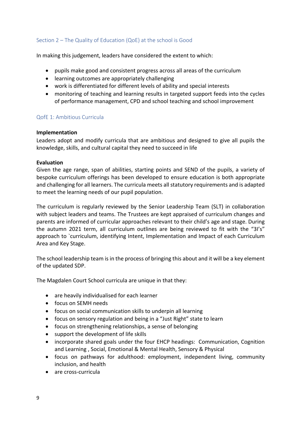# Section 2 – The Quality of Education (QoE) at the school is Good

In making this judgement, leaders have considered the extent to which:

- pupils make good and consistent progress across all areas of the curriculum
- learning outcomes are appropriately challenging
- work is differentiated for different levels of ability and special interests
- monitoring of teaching and learning results in targeted support feeds into the cycles of performance management, CPD and school teaching and school improvement

# QofE 1: Ambitious Curricula

### **Implementation**

Leaders adopt and modify curricula that are ambitious and designed to give all pupils the knowledge, skills, and cultural capital they need to succeed in life

### **Evaluation**

Given the age range, span of abilities, starting points and SEND of the pupils, a variety of bespoke curriculum offerings has been developed to ensure education is both appropriate and challenging for all learners. The curricula meets all statutory requirements and is adapted to meet the learning needs of our pupil population.

The curriculum is regularly reviewed by the Senior Leadership Team (SLT) in collaboration with subject leaders and teams. The Trustees are kept appraised of curriculum changes and parents are informed of curricular approaches relevant to their child's age and stage. During the autumn 2021 term, all curriculum outlines are being reviewed to fit with the "3I's" approach to `curriculum, identifying Intent, Implementation and Impact of each Curriculum Area and Key Stage.

The school leadership team is in the process of bringing this about and it will be a key element of the updated SDP.

The Magdalen Court School curricula are unique in that they:

- are heavily individualised for each learner
- focus on SEMH needs
- focus on social communication skills to underpin all learning
- focus on sensory regulation and being in a "Just Right" state to learn
- focus on strengthening relationships, a sense of belonging
- support the development of life skills
- incorporate shared goals under the four EHCP headings: Communication, Cognition and Learning , Social, Emotional & Mental Health, Sensory & Physical
- focus on pathways for adulthood: employment, independent living, community inclusion, and health
- are cross-curricula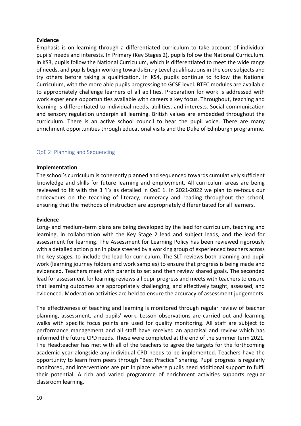# **Evidence**

Emphasis is on learning through a differentiated curriculum to take account of individual pupils' needs and interests. In Primary (Key Stages 2), pupils follow the National Curriculum. In KS3, pupils follow the National Curriculum, which is differentiated to meet the wide range of needs, and pupils begin working towards Entry Level qualifications in the core subjects and try others before taking a qualification. In KS4, pupils continue to follow the National Curriculum, with the more able pupils progressing to GCSE level. BTEC modules are available to appropriately challenge learners of all abilities. Preparation for work is addressed with work experience opportunities available with careers a key focus. Throughout, teaching and learning is differentiated to individual needs, abilities, and interests. Social communication and sensory regulation underpin all learning. British values are embedded throughout the curriculum. There is an active school council to hear the pupil voice. There are many enrichment opportunities through educational visits and the Duke of Edinburgh programme.

# QoE 2: Planning and Sequencing

# **Implementation**

The school's curriculum is coherently planned and sequenced towards cumulatively sufficient knowledge and skills for future learning and employment. All curriculum areas are being reviewed to fit with the 3 'I's as detailed in QoE 1. In 2021-2022 we plan to re-focus our endeavours on the teaching of literacy, numeracy and reading throughout the school, ensuring that the methods of instruction are appropriately differentiated for all learners.

#### **Evidence**

Long- and medium-term plans are being developed by the lead for curriculum, teaching and learning, in collaboration with the Key Stage 2 lead and subject leads, and the lead for assessment for learning. The Assessment for Learning Policy has been reviewed rigorously with a detailed action plan in place steered by a working group of experienced teachers across the key stages, to include the lead for curriculum. The SLT reviews both planning and pupil work (learning journey folders and work samples) to ensure that progress is being made and evidenced. Teachers meet with parents to set and then review shared goals. The seconded lead for assessment for learning reviews all pupil progress and meets with teachers to ensure that learning outcomes are appropriately challenging, and effectively taught, assessed, and evidenced. Moderation activities are held to ensure the accuracy of assessment judgements.

The effectiveness of teaching and learning is monitored through regular review of teacher planning, assessment, and pupils' work. Lesson observations are carried out and learning walks with specific focus points are used for quality monitoring. All staff are subject to performance management and all staff have received an appraisal and review which has informed the future CPD needs. These were completed at the end of the summer term 2021. The Headteacher has met with all of the teachers to agree the targets for the forthcoming academic year alongside any individual CPD needs to be implemented. Teachers have the opportunity to learn from peers through "Best Practice" sharing. Pupil progress is regularly monitored, and interventions are put in place where pupils need additional support to fulfil their potential. A rich and varied programme of enrichment activities supports regular classroom learning.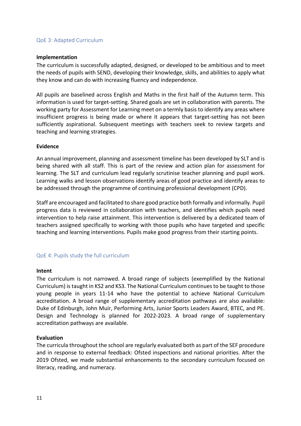# QoE 3: Adapted Curriculum

# **Implementation**

The curriculum is successfully adapted, designed, or developed to be ambitious and to meet the needs of pupils with SEND, developing their knowledge, skills, and abilities to apply what they know and can do with increasing fluency and independence.

All pupils are baselined across English and Maths in the first half of the Autumn term. This information is used for target-setting. Shared goals are set in collaboration with parents. The working party for Assessment for Learning meet on a termly basis to identify any areas where insufficient progress is being made or where it appears that target-setting has not been sufficiently aspirational. Subsequent meetings with teachers seek to review targets and teaching and learning strategies.

# **Evidence**

An annual improvement, planning and assessment timeline has been developed by SLT and is being shared with all staff. This is part of the review and action plan for assessment for learning. The SLT and curriculum lead regularly scrutinise teacher planning and pupil work. Learning walks and lesson observations identify areas of good practice and identify areas to be addressed through the programme of continuing professional development (CPD).

Staff are encouraged and facilitated to share good practice both formally and informally. Pupil progress data is reviewed in collaboration with teachers, and identifies which pupils need intervention to help raise attainment. This intervention is delivered by a dedicated team of teachers assigned specifically to working with those pupils who have targeted and specific teaching and learning interventions. Pupils make good progress from their starting points.

# QoE 4: Pupils study the full curriculum

# **Intent**

The curriculum is not narrowed. A broad range of subjects (exemplified by the National Curriculum) is taught in KS2 and KS3. The National Curriculum continues to be taught to those young people in years 11-14 who have the potential to achieve National Curriculum accreditation. A broad range of supplementary accreditation pathways are also available: Duke of Edinburgh, John Muir, Performing Arts, Junior Sports Leaders Award, BTEC, and PE. Design and Technology is planned for 2022-2023. A broad range of supplementary accreditation pathways are available.

# **Evaluation**

The curricula throughout the school are regularly evaluated both as part of the SEF procedure and in response to external feedback: Ofsted inspections and national priorities. After the 2019 Ofsted, we made substantial enhancements to the secondary curriculum focused on literacy, reading, and numeracy.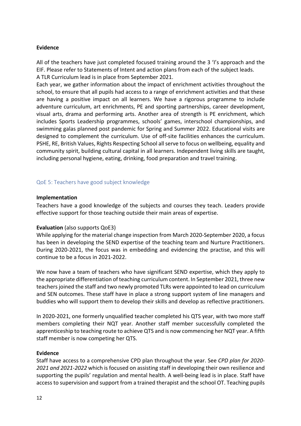# **Evidence**

All of the teachers have just completed focused training around the 3 'I's approach and the EIF. Please refer to Statements of Intent and action plans from each of the subject leads. A TLR Curriculum lead is in place from September 2021.

Each year, we gather information about the impact of enrichment activities throughout the school, to ensure that all pupils had access to a range of enrichment activities and that these are having a positive impact on all learners. We have a rigorous programme to include adventure curriculum, art enrichments, PE and sporting partnerships, career development, visual arts, drama and performing arts. Another area of strength is PE enrichment, which includes Sports Leadership programmes, schools' games, interschool championships, and swimming galas planned post pandemic for Spring and Summer 2022. Educational visits are designed to complement the curriculum. Use of off-site facilities enhances the curriculum. PSHE, RE, British Values, Rights Respecting School all serve to focus on wellbeing, equality and community spirit, building cultural capital in all learners. Independent living skills are taught, including personal hygiene, eating, drinking, food preparation and travel training.

# QoE 5: Teachers have good subject knowledge

# **Implementation**

Teachers have a good knowledge of the subjects and courses they teach. Leaders provide effective support for those teaching outside their main areas of expertise.

# **Evaluation** (also supports QoE3)

While applying for the material change inspection from March 2020-September 2020, a focus has been in developing the SEND expertise of the teaching team and Nurture Practitioners. During 2020-2021, the focus was in embedding and evidencing the practise, and this will continue to be a focus in 2021-2022.

We now have a team of teachers who have significant SEND expertise, which they apply to the appropriate differentiation of teaching curriculum content. In September 2021, three new teachers joined the staff and two newly promoted TLRs were appointed to lead on curriculum and SEN outcomes. These staff have in place a strong support system of line managers and buddies who will support them to develop their skills and develop as reflective practitioners.

In 2020-2021, one formerly unqualified teacher completed his QTS year, with two more staff members completing their NQT year. Another staff member successfully completed the apprenticeship to teaching route to achieve QTS and is now commencing her NQT year. A fifth staff member is now competing her QTS.

# **Evidence**

Staff have access to a comprehensive CPD plan throughout the year. See *CPD plan for 2020- 2021 and 2021-2022* which is focused on assisting staff in developing their own resilience and supporting the pupils' regulation and mental health. A well-being lead is in place. Staff have access to supervision and support from a trained therapist and the school OT. Teaching pupils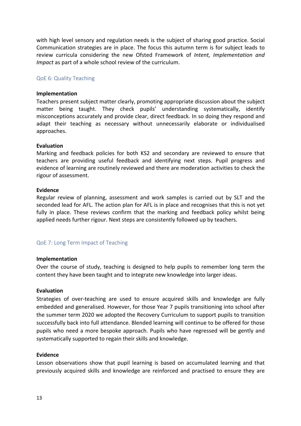with high level sensory and regulation needs is the subject of sharing good practice. Social Communication strategies are in place. The focus this autumn term is for subject leads to review curricula considering the new Ofsted Framework of *Intent, Implementation and Impact* as part of a whole school review of the curriculum.

# QoE 6: Quality Teaching

### **Implementation**

Teachers present subject matter clearly, promoting appropriate discussion about the subject matter being taught. They check pupils' understanding systematically, identify misconceptions accurately and provide clear, direct feedback. In so doing they respond and adapt their teaching as necessary without unnecessarily elaborate or individualised approaches.

### **Evaluation**

Marking and feedback policies for both KS2 and secondary are reviewed to ensure that teachers are providing useful feedback and identifying next steps. Pupil progress and evidence of learning are routinely reviewed and there are moderation activities to check the rigour of assessment.

### **Evidence**

Regular review of planning, assessment and work samples is carried out by SLT and the seconded lead for AFL. The action plan for AFL is in place and recognises that this is not yet fully in place. These reviews confirm that the marking and feedback policy whilst being applied needs further rigour. Next steps are consistently followed up by teachers.

# QoE 7: Long Term Impact of Teaching

#### **Implementation**

Over the course of study, teaching is designed to help pupils to remember long term the content they have been taught and to integrate new knowledge into larger ideas.

# **Evaluation**

Strategies of over-teaching are used to ensure acquired skills and knowledge are fully embedded and generalised. However, for those Year 7 pupils transitioning into school after the summer term 2020 we adopted the Recovery Curriculum to support pupils to transition successfully back into full attendance. Blended learning will continue to be offered for those pupils who need a more bespoke approach. Pupils who have regressed will be gently and systematically supported to regain their skills and knowledge.

# **Evidence**

Lesson observations show that pupil learning is based on accumulated learning and that previously acquired skills and knowledge are reinforced and practised to ensure they are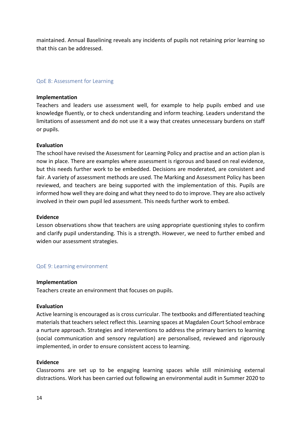maintained. Annual Baselining reveals any incidents of pupils not retaining prior learning so that this can be addressed.

## QoE 8: Assessment for Learning

#### **Implementation**

Teachers and leaders use assessment well, for example to help pupils embed and use knowledge fluently, or to check understanding and inform teaching. Leaders understand the limitations of assessment and do not use it a way that creates unnecessary burdens on staff or pupils.

### **Evaluation**

The school have revised the Assessment for Learning Policy and practise and an action plan is now in place. There are examples where assessment is rigorous and based on real evidence, but this needs further work to be embedded. Decisions are moderated, are consistent and fair. A variety of assessment methods are used. The Marking and Assessment Policy has been reviewed, and teachers are being supported with the implementation of this. Pupils are informed how well they are doing and what they need to do to improve. They are also actively involved in their own pupil led assessment. This needs further work to embed.

#### **Evidence**

Lesson observations show that teachers are using appropriate questioning styles to confirm and clarify pupil understanding. This is a strength. However, we need to further embed and widen our assessment strategies.

#### QoE 9: Learning environment

#### **Implementation**

Teachers create an environment that focuses on pupils.

#### **Evaluation**

Active learning is encouraged as is cross curricular. The textbooks and differentiated teaching materials that teachers select reflect this. Learning spaces at Magdalen Court School embrace a nurture approach. Strategies and interventions to address the primary barriers to learning (social communication and sensory regulation) are personalised, reviewed and rigorously implemented, in order to ensure consistent access to learning.

### **Evidence**

Classrooms are set up to be engaging learning spaces while still minimising external distractions. Work has been carried out following an environmental audit in Summer 2020 to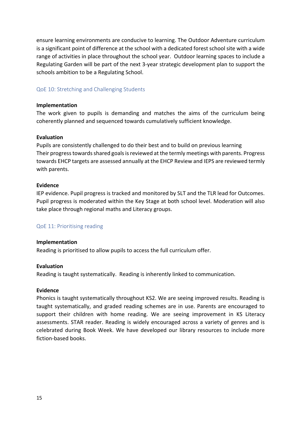ensure learning environments are conducive to learning. The Outdoor Adventure curriculum is a significant point of difference at the school with a dedicated forest school site with a wide range of activities in place throughout the school year. Outdoor learning spaces to include a Regulating Garden will be part of the next 3-year strategic development plan to support the schools ambition to be a Regulating School.

# QoE 10: Stretching and Challenging Students

## **Implementation**

The work given to pupils is demanding and matches the aims of the curriculum being coherently planned and sequenced towards cumulatively sufficient knowledge.

### **Evaluation**

Pupils are consistently challenged to do their best and to build on previous learning Their progress towards shared goals is reviewed at the termly meetings with parents. Progress towards EHCP targets are assessed annually at the EHCP Review and IEPS are reviewed termly with parents.

### **Evidence**

IEP evidence. Pupil progress is tracked and monitored by SLT and the TLR lead for Outcomes. Pupil progress is moderated within the Key Stage at both school level. Moderation will also take place through regional maths and Literacy groups.

# QoE 11: Prioritising reading

#### **Implementation**

Reading is prioritised to allow pupils to access the full curriculum offer.

#### **Evaluation**

Reading is taught systematically. Reading is inherently linked to communication.

#### **Evidence**

Phonics is taught systematically throughout KS2. We are seeing improved results. Reading is taught systematically, and graded reading schemes are in use. Parents are encouraged to support their children with home reading. We are seeing improvement in KS Literacy assessments. STAR reader. Reading is widely encouraged across a variety of genres and is celebrated during Book Week. We have developed our library resources to include more fiction-based books.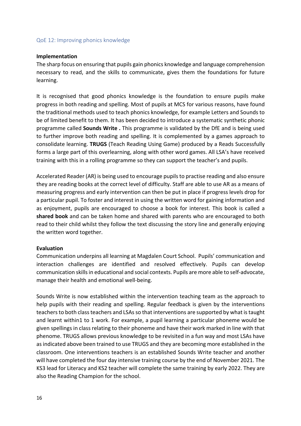# QoE 12: Improving phonics knowledge

# **Implementation**

The sharp focus on ensuring that pupils gain phonics knowledge and language comprehension necessary to read, and the skills to communicate, gives them the foundations for future learning.

It is recognised that good phonics knowledge is the foundation to ensure pupils make progress in both reading and spelling. Most of pupils at MCS for various reasons, have found the traditional methods used to teach phonics knowledge, for example Letters and Sounds to be of limited benefit to them. It has been decided to introduce a systematic synthetic phonic programme called **Sounds Write .** This programme is validated by the DfE and is being used to further improve both reading and spelling. It is complemented by a games approach to consolidate learning. **TRUGS** (Teach Reading Using Game) produced by a Reads Successfully forms a large part of this overlearning, along with other word games. All LSA's have received training with this in a rolling programme so they can support the teacher's and pupils.

Accelerated Reader (AR) is being used to encourage pupils to practise reading and also ensure they are reading books at the correct level of difficulty. Staff are able to use AR as a means of measuring progress and early intervention can then be put in place if progress levels drop for a particular pupil. To foster and interest in using the written word for gaining information and as enjoyment, pupils are encouraged to choose a book for interest. This book is called a **shared book** and can be taken home and shared with parents who are encouraged to both read to their child whilst they follow the text discussing the story line and generally enjoying the written word together.

# **Evaluation**

Communication underpins all learning at Magdalen Court School. Pupils' communication and interaction challenges are identified and resolved effectively. Pupils can develop communication skills in educational and social contexts. Pupils are more able to self-advocate, manage their health and emotional well-being.

Sounds Write is now established within the intervention teaching team as the approach to help pupils with their reading and spelling. Regular feedback is given by the interventions teachers to both class teachers and LSAs so that interventions are supported by what is taught and learnt within1 to 1 work. For example, a pupil learning a particular phoneme would be given spellings in class relating to their phoneme and have their work marked in line with that phenome. TRUGS allows previous knowledge to be revisited in a fun way and most LSAs have as indicated above been trained to use TRUGS and they are becoming more established in the classroom. One interventions teachers is an established Sounds Write teacher and another will have completed the four day intensive training course by the end of November 2021. The KS3 lead for Literacy and KS2 teacher will complete the same training by early 2022. They are also the Reading Champion for the school.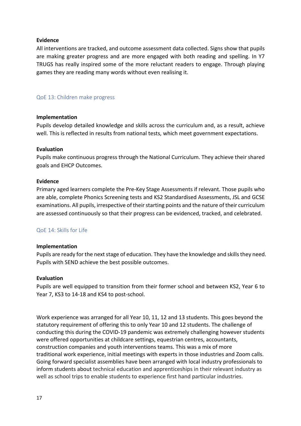# **Evidence**

All interventions are tracked, and outcome assessment data collected. Signs show that pupils are making greater progress and are more engaged with both reading and spelling. In Y7 TRUGS has really inspired some of the more reluctant readers to engage. Through playing games they are reading many words without even realising it.

# QoE 13: Children make progress

# **Implementation**

Pupils develop detailed knowledge and skills across the curriculum and, as a result, achieve well. This is reflected in results from national tests, which meet government expectations.

# **Evaluation**

Pupils make continuous progress through the National Curriculum. They achieve their shared goals and EHCP Outcomes.

# **Evidence**

Primary aged learners complete the Pre-Key Stage Assessments if relevant. Those pupils who are able, complete Phonics Screening tests and KS2 Standardised Assessments, JSL and GCSE examinations. All pupils, irrespective of their starting points and the nature of their curriculum are assessed continuously so that their progress can be evidenced, tracked, and celebrated.

# QoE 14: Skills for Life

# **Implementation**

Pupils are ready for the next stage of education. They have the knowledge and skills they need. Pupils with SEND achieve the best possible outcomes.

# **Evaluation**

Pupils are well equipped to transition from their former school and between KS2, Year 6 to Year 7, KS3 to 14-18 and KS4 to post-school.

Work experience was arranged for all Year 10, 11, 12 and 13 students. This goes beyond the statutory requirement of offering this to only Year 10 and 12 students. The challenge of conducting this during the COVID-19 pandemic was extremely challenging however students were offered opportunities at childcare settings, equestrian centres, accountants, construction companies and youth interventions teams. This was a mix of more traditional work experience, initial meetings with experts in those industries and Zoom calls. Going forward specialist assemblies have been arranged with local industry professionals to inform students about technical education and apprenticeships in their relevant industry as well as school trips to enable students to experience first hand particular industries.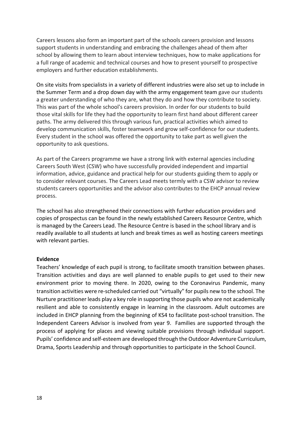Careers lessons also form an important part of the schools careers provision and lessons support students in understanding and embracing the challenges ahead of them after school by allowing them to learn about interview techniques, how to make applications for a full range of academic and technical courses and how to present yourself to prospective employers and further education establishments.

On site visits from specialists in a variety of different industries were also set up to include in the Summer Term and a drop down day with the army engagement team gave our students a greater understanding of who they are, what they do and how they contribute to society. This was part of the whole school's careers provision. In order for our students to build those vital skills for life they had the opportunity to learn first hand about different career paths. The army delivered this through various fun, practical activities which aimed to develop communication skills, foster teamwork and grow self-confidence for our students. Every student in the school was offered the opportunity to take part as well given the opportunity to ask questions.

As part of the Careers programme we have a strong link with external agencies including Careers South West (CSW) who have successfully provided independent and impartial information, advice, guidance and practical help for our students guiding them to apply or to consider relevant courses. The Careers Lead meets termly with a CSW advisor to review students careers opportunities and the advisor also contributes to the EHCP annual review process.

The school has also strengthened their connections with further education providers and copies of prospectus can be found in the newly established Careers Resource Centre, which is managed by the Careers Lead. The Resource Centre is based in the school library and is readily available to all students at lunch and break times as well as hosting careers meetings with relevant parties.

#### **Evidence**

Teachers' knowledge of each pupil is strong, to facilitate smooth transition between phases. Transition activities and days are well planned to enable pupils to get used to their new environment prior to moving there. In 2020, owing to the Coronavirus Pandemic, many transition activities were re-scheduled carried out "virtually" for pupils new to the school. The Nurture practitioner leads play a key role in supporting those pupils who are not academically resilient and able to consistently engage in learning in the classroom. Adult outcomes are included in EHCP planning from the beginning of KS4 to facilitate post-school transition. The Independent Careers Advisor is involved from year 9. Families are supported through the process of applying for places and viewing suitable provisions through individual support. Pupils' confidence and self-esteem are developed through the Outdoor Adventure Curriculum, Drama, Sports Leadership and through opportunities to participate in the School Council.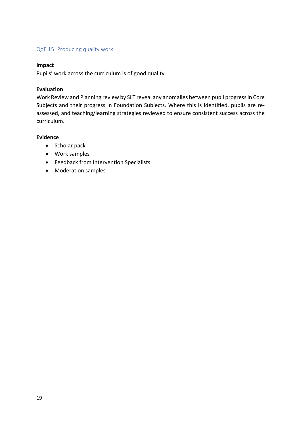# QoE 15: Producing quality work

# **Impact**

Pupils' work across the curriculum is of good quality.

# **Evaluation**

Work Review and Planning review by SLT reveal any anomalies between pupil progress in Core Subjects and their progress in Foundation Subjects. Where this is identified, pupils are reassessed, and teaching/learning strategies reviewed to ensure consistent success across the curriculum.

# **Evidence**

- Scholar pack
- Work samples
- Feedback from Intervention Specialists
- Moderation samples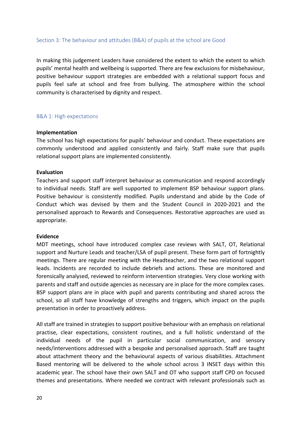## Section 3: The behaviour and attitudes (B&A) of pupils at the school are Good

In making this judgement Leaders have considered the extent to which the extent to which pupils' mental health and wellbeing is supported. There are few exclusions for misbehaviour, positive behaviour support strategies are embedded with a relational support focus and pupils feel safe at school and free from bullying. The atmosphere within the school community is characterised by dignity and respect.

### B&A 1: High expectations

### **Implementation**

The school has high expectations for pupils' behaviour and conduct. These expectations are commonly understood and applied consistently and fairly. Staff make sure that pupils relational support plans are implemented consistently.

### **Evaluation**

Teachers and support staff interpret behaviour as communication and respond accordingly to individual needs. Staff are well supported to implement BSP behaviour support plans. Positive behaviour is consistently modified. Pupils understand and abide by the Code of Conduct which was devised by them and the Student Council in 2020-2021 and the personalised approach to Rewards and Consequences. Restorative approaches are used as appropriate.

#### **Evidence**

MDT meetings, school have introduced complex case reviews with SALT, OT, Relational support and Nurture Leads and teacher/LSA of pupil present. These form part of fortnightly meetings. There are regular meeting with the Headteacher, and the two relational support leads. Incidents are recorded to include debriefs and actions. These are monitored and forensically analysed, reviewed to reinform intervention strategies. Very close working with parents and staff and outside agencies as necessary are in place for the more complex cases. BSP support plans are in place with pupil and parents contributing and shared across the school, so all staff have knowledge of strengths and triggers, which impact on the pupils presentation in order to proactively address.

All staff are trained in strategies to support positive behaviour with an emphasis on relational practise, clear expectations, consistent routines, and a full holistic understand of the individual needs of the pupil in particular social communication, and sensory needs/interventions addressed with a bespoke and personalised approach. Staff are taught about attachment theory and the behavioural aspects of various disabilities. Attachment Based mentoring will be delivered to the whole school across 3 INSET days within this academic year. The school have their own SALT and OT who support staff CPD on focused themes and presentations. Where needed we contract with relevant professionals such as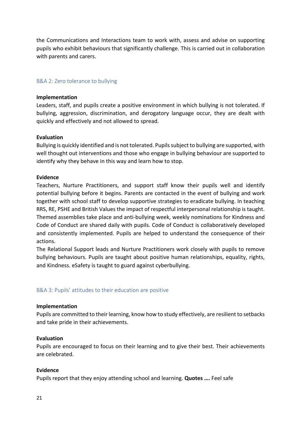the Communications and Interactions team to work with, assess and advise on supporting pupils who exhibit behaviours that significantly challenge. This is carried out in collaboration with parents and carers.

# B&A 2: Zero tolerance to bullying

## **Implementation**

Leaders, staff, and pupils create a positive environment in which bullying is not tolerated. If bullying, aggression, discrimination, and derogatory language occur, they are dealt with quickly and effectively and not allowed to spread.

# **Evaluation**

Bullying is quickly identified and is not tolerated. Pupils subject to bullying are supported, with well thought out interventions and those who engage in bullying behaviour are supported to identify why they behave in this way and learn how to stop.

# **Evidence**

Teachers, Nurture Practitioners, and support staff know their pupils well and identify potential bullying before it begins. Parents are contacted in the event of bullying and work together with school staff to develop supportive strategies to eradicate bullying. In teaching RRS, RE, PSHE and British Values the impact of respectful interpersonal relationship is taught. Themed assemblies take place and anti-bullying week, weekly nominations for Kindness and Code of Conduct are shared daily with pupils. Code of Conduct is collaboratively developed and consistently implemented. Pupils are helped to understand the consequence of their actions.

The Relational Support leads and Nurture Practitioners work closely with pupils to remove bullying behaviours. Pupils are taught about positive human relationships, equality, rights, and Kindness. eSafety is taught to guard against cyberbullying.

# B&A 3: Pupils' attitudes to their education are positive

#### **Implementation**

Pupils are committed to their learning, know how to study effectively, are resilient to setbacks and take pride in their achievements.

# **Evaluation**

Pupils are encouraged to focus on their learning and to give their best. Their achievements are celebrated.

## **Evidence**

Pupils report that they enjoy attending school and learning. **Quotes ….** Feel safe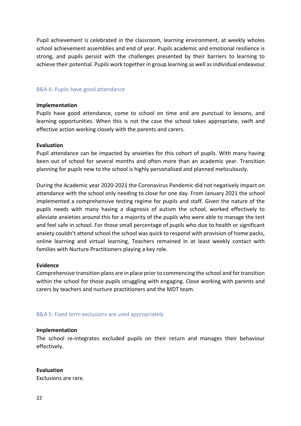Pupil achievement is celebrated in the classroom, learning environment, at weekly wholes school achievement assemblies and end of year. Pupils academic and emotional resilience is strong, and pupils persist with the challenges presented by their barriers to learning to achieve their potential. Pupils work together in group learning as well as individual endeavour.

## B&A 4: Pupils have good attendance

#### **Implementation**

Pupils have good attendance, come to school on time and are punctual to lessons, and learning opportunities. When this is not the case the school takes appropriate, swift and effective action working closely with the parents and carers.

### **Evaluation**

Pupil attendance can be impacted by anxieties for this cohort of pupils. With many having been out of school for several months and often more than an academic year. Transition planning for pupils new to the school is highly personalised and planned meticulously.

During the Academic year 2020-2021 the Coronavirus Pandemic did not negatively impact on attendance with the school only needing to close for one day. From January 2021 the school implemented a comprehensive testing regime for pupils and staff. Given the nature of the pupils needs with many having a diagnosis of autism the school, worked effectively to alleviate anxieties around this for a majority of the pupils who were able to manage the test and feel safe in school. For those small percentage of pupils who due to health or significant anxiety couldn't attend school the school was quick to respond with provision of home packs, online learning and virtual learning, Teachers remained in at least weekly contact with families with Nurture Practitioners playing a key role.

# **Evidence**

Comprehensive transition plans are in place prior to commencing the school and for transition within the school for those pupils struggling with engaging. Close working with parents and carers by teachers and nurture practitioners and the MDT team.

B&A 5: Fixed term exclusions are used appropriately

#### **Implementation**

The school re-integrates excluded pupils on their return and manages their behaviour effectively.

# **Evaluation**

Exclusions are rare.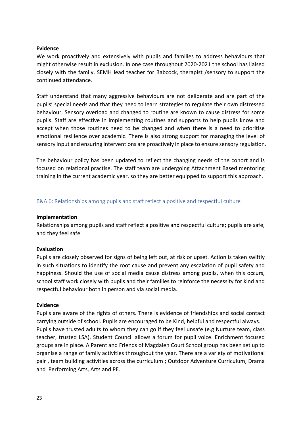# **Evidence**

We work proactively and extensively with pupils and families to address behaviours that might otherwise result in exclusion. In one case throughout 2020-2021 the school has liaised closely with the family, SEMH lead teacher for Babcock, therapist /sensory to support the continued attendance.

Staff understand that many aggressive behaviours are not deliberate and are part of the pupils' special needs and that they need to learn strategies to regulate their own distressed behaviour. Sensory overload and changed to routine are known to cause distress for some pupils. Staff are effective in implementing routines and supports to help pupils know and accept when those routines need to be changed and when there is a need to prioritise emotional resilience over academic. There is also strong support for managing the level of sensory input and ensuring interventions are proactively in place to ensure sensory regulation.

The behaviour policy has been updated to reflect the changing needs of the cohort and is focused on relational practise. The staff team are undergoing Attachment Based mentoring training in the current academic year, so they are better equipped to support this approach.

# B&A 6: Relationships among pupils and staff reflect a positive and respectful culture

# **Implementation**

Relationships among pupils and staff reflect a positive and respectful culture; pupils are safe, and they feel safe.

# **Evaluation**

Pupils are closely observed for signs of being left out, at risk or upset. Action is taken swiftly in such situations to identify the root cause and prevent any escalation of pupil safety and happiness. Should the use of social media cause distress among pupils, when this occurs, school staff work closely with pupils and their families to reinforce the necessity for kind and respectful behaviour both in person and via social media.

# **Evidence**

Pupils are aware of the rights of others. There is evidence of friendships and social contact carrying outside of school. Pupils are encouraged to be Kind, helpful and respectful always. Pupils have trusted adults to whom they can go if they feel unsafe (e.g Nurture team, class teacher, trusted LSA). Student Council allows a forum for pupil voice. Enrichment focused groups are in place. A Parent and Friends of Magdalen Court School group has been set up to organise a range of family activities throughout the year. There are a variety of motivational pair , team building activities across the curriculum ; Outdoor Adventure Curriculum, Drama and Performing Arts, Arts and PE.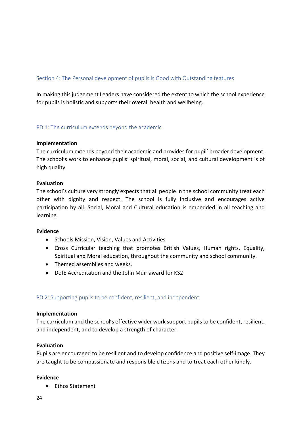# Section 4: The Personal development of pupils is Good with Outstanding features

In making this judgement Leaders have considered the extent to which the school experience for pupils is holistic and supports their overall health and wellbeing.

PD 1: The curriculum extends beyond the academic

# **Implementation**

The curriculum extends beyond their academic and provides for pupil' broader development. The school's work to enhance pupils' spiritual, moral, social, and cultural development is of high quality.

# **Evaluation**

The school's culture very strongly expects that all people in the school community treat each other with dignity and respect. The school is fully inclusive and encourages active participation by all. Social, Moral and Cultural education is embedded in all teaching and learning.

# **Evidence**

- Schools Mission, Vision, Values and Activities
- Cross Curricular teaching that promotes British Values, Human rights, Equality, Spiritual and Moral education, throughout the community and school community.
- Themed assemblies and weeks.
- DofE Accreditation and the John Muir award for KS2

# PD 2: Supporting pupils to be confident, resilient, and independent

#### **Implementation**

The curriculum and the school's effective wider work support pupils to be confident, resilient, and independent, and to develop a strength of character.

# **Evaluation**

Pupils are encouraged to be resilient and to develop confidence and positive self-image. They are taught to be compassionate and responsible citizens and to treat each other kindly.

# **Evidence**

• Ethos Statement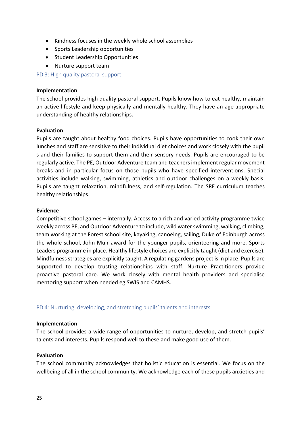- Kindness focuses in the weekly whole school assemblies
- Sports Leadership opportunities
- Student Leadership Opportunities
- Nurture support team

PD 3: High quality pastoral support

### **Implementation**

The school provides high quality pastoral support. Pupils know how to eat healthy, maintain an active lifestyle and keep physically and mentally healthy. They have an age-appropriate understanding of healthy relationships.

### **Evaluation**

Pupils are taught about healthy food choices. Pupils have opportunities to cook their own lunches and staff are sensitive to their individual diet choices and work closely with the pupil s and their families to support them and their sensory needs. Pupils are encouraged to be regularly active. The PE, Outdoor Adventure team and teachers implement regular movement breaks and in particular focus on those pupils who have specified interventions. Special activities include walking, swimming, athletics and outdoor challenges on a weekly basis. Pupils are taught relaxation, mindfulness, and self-regulation. The SRE curriculum teaches healthy relationships.

#### **Evidence**

Competitive school games – internally. Access to a rich and varied activity programme twice weekly across PE, and Outdoor Adventure to include, wild water swimming, walking, climbing, team working at the Forest school site, kayaking, canoeing, sailing, Duke of Edinburgh across the whole school, John Muir award for the younger pupils, orienteering and more. Sports Leaders programme in place. Healthy lifestyle choices are explicitly taught (diet and exercise). Mindfulness strategies are explicitly taught. A regulating gardens project is in place. Pupils are supported to develop trusting relationships with staff. Nurture Practitioners provide proactive pastoral care. We work closely with mental health providers and specialise mentoring support when needed eg SWIS and CAMHS.

# PD 4: Nurturing, developing, and stretching pupils' talents and interests

# **Implementation**

The school provides a wide range of opportunities to nurture, develop, and stretch pupils' talents and interests. Pupils respond well to these and make good use of them.

# **Evaluation**

The school community acknowledges that holistic education is essential. We focus on the wellbeing of all in the school community. We acknowledge each of these pupils anxieties and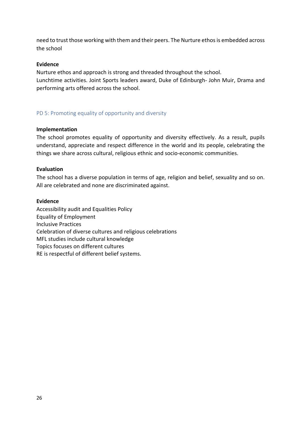need to trust those working with them and their peers. The Nurture ethos is embedded across the school

# **Evidence**

Nurture ethos and approach is strong and threaded throughout the school. Lunchtime activities. Joint Sports leaders award, Duke of Edinburgh- John Muir, Drama and performing arts offered across the school.

# PD 5: Promoting equality of opportunity and diversity

### **Implementation**

The school promotes equality of opportunity and diversity effectively. As a result, pupils understand, appreciate and respect difference in the world and its people, celebrating the things we share across cultural, religious ethnic and socio-economic communities.

# **Evaluation**

The school has a diverse population in terms of age, religion and belief, sexuality and so on. All are celebrated and none are discriminated against.

### **Evidence**

Accessibility audit and Equalities Policy Equality of Employment Inclusive Practices Celebration of diverse cultures and religious celebrations MFL studies include cultural knowledge Topics focuses on different cultures RE is respectful of different belief systems.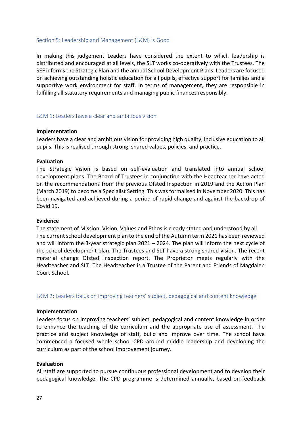# Section 5: Leadership and Management (L&M) is Good

In making this judgement Leaders have considered the extent to which leadership is distributed and encouraged at all levels, the SLT works co-operatively with the Trustees. The SEF informs the Strategic Plan and the annual School Development Plans. Leaders are focused on achieving outstanding holistic education for all pupils, effective support for families and a supportive work environment for staff. In terms of management, they are responsible in fulfilling all statutory requirements and managing public finances responsibly.

### L&M 1: Leaders have a clear and ambitious vision

#### **Implementation**

Leaders have a clear and ambitious vision for providing high quality, inclusive education to all pupils. This is realised through strong, shared values, policies, and practice.

#### **Evaluation**

The Strategic Vision is based on self-evaluation and translated into annual school development plans. The Board of Trustees in conjunction with the Headteacher have acted on the recommendations from the previous Ofsted Inspection in 2019 and the Action Plan (March 2019) to become a Specialist Setting. This was formalised in November 2020. This has been navigated and achieved during a period of rapid change and against the backdrop of Covid 19.

#### **Evidence**

The statement of Mission, Vision, Values and Ethos is clearly stated and understood by all. The current school development plan to the end of the Autumn term 2021 has been reviewed and will inform the 3-year strategic plan  $2021 - 2024$ . The plan will inform the next cycle of the school development plan. The Trustees and SLT have a strong shared vision. The recent material change Ofsted Inspection report. The Proprietor meets regularly with the Headteacher and SLT. The Headteacher is a Trustee of the Parent and Friends of Magdalen Court School.

#### L&M 2: Leaders focus on improving teachers' subject, pedagogical and content knowledge

#### **Implementation**

Leaders focus on improving teachers' subject, pedagogical and content knowledge in order to enhance the teaching of the curriculum and the appropriate use of assessment. The practice and subject knowledge of staff, build and improve over time. The school have commenced a focused whole school CPD around middle leadership and developing the curriculum as part of the school improvement journey.

#### **Evaluation**

All staff are supported to pursue continuous professional development and to develop their pedagogical knowledge. The CPD programme is determined annually, based on feedback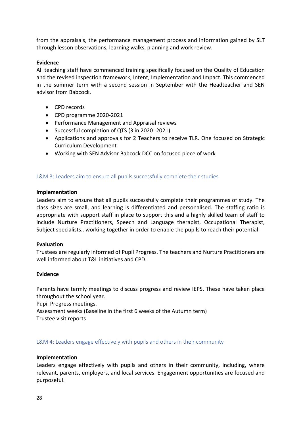from the appraisals, the performance management process and information gained by SLT through lesson observations, learning walks, planning and work review.

# **Evidence**

All teaching staff have commenced training specifically focused on the Quality of Education and the revised inspection framework, Intent, Implementation and Impact. This commenced in the summer term with a second session in September with the Headteacher and SEN advisor from Babcock.

- CPD records
- CPD programme 2020-2021
- Performance Management and Appraisal reviews
- Successful completion of QTS (3 in 2020 -2021)
- Applications and approvals for 2 Teachers to receive TLR. One focused on Strategic Curriculum Development
- Working with SEN Advisor Babcock DCC on focused piece of work

# L&M 3: Leaders aim to ensure all pupils successfully complete their studies

# **Implementation**

Leaders aim to ensure that all pupils successfully complete their programmes of study. The class sizes are small, and learning is differentiated and personalised. The staffing ratio is appropriate with support staff in place to support this and a highly skilled team of staff to include Nurture Practitioners, Speech and Language therapist, Occupational Therapist, Subject specialists.. working together in order to enable the pupils to reach their potential.

# **Evaluation**

Trustees are regularly informed of Pupil Progress. The teachers and Nurture Practitioners are well informed about T&L initiatives and CPD.

# **Evidence**

Parents have termly meetings to discuss progress and review IEPS. These have taken place throughout the school year.

Pupil Progress meetings.

Assessment weeks (Baseline in the first 6 weeks of the Autumn term)

Trustee visit reports

L&M 4: Leaders engage effectively with pupils and others in their community

# **Implementation**

Leaders engage effectively with pupils and others in their community, including, where relevant, parents, employers, and local services. Engagement opportunities are focused and purposeful.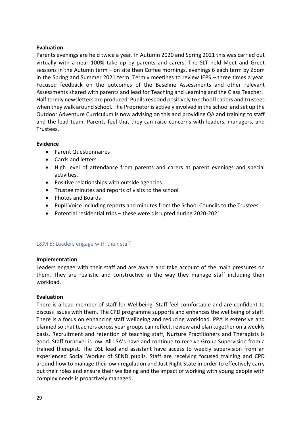# **Evaluation**

Parents evenings are held twice a year. In Autumn 2020 and Spring 2021 this was carried out virtually with a near 100% take up by parents and carers. The SLT held Meet and Greet sessions in the Autumn term – on site then Coffee mornings, evenings 6 each term by Zoom in the Spring and Summer 2021 term. Termly meetings to review IEPS – three times a year. Focused feedback on the outcomes of the Baseline Assessments and other relevant Assessments shared with parents and lead for Teaching and Learning and the Class Teacher. Half termly newsletters are produced. Pupils respond positively to school leaders and trustees when they walk around school. The Proprietor is actively involved in the school and set up the Outdoor Adventure Curriculum is now advising on this and providing QA and training to staff and the lead team. Parents feel that they can raise concerns with leaders, managers, and Trustees.

# **Evidence**

- Parent Questionnaires
- Cards and letters
- High level of attendance from parents and carers at parent evenings and special activities.
- Positive relationships with outside agencies
- Trustee minutes and reports of visits to the school
- Photos and Boards
- Pupil Voice including reports and minutes from the School Councils to the Trustees
- Potential residential trips these were disrupted during 2020-2021.

# L&M 5: Leaders engage with their staff

# **Implementation**

Leaders engage with their staff and are aware and take account of the main pressures on them. They are realistic and constructive in the way they manage staff including their workload.

# **Evaluation**

There is a lead member of staff for Wellbeing. Staff feel comfortable and are confident to discuss issues with them. The CPD programme supports and enhances the wellbeing of staff. There is a focus on enhancing staff wellbeing and reducing workload. PPA is extensive and planned so that teachers across year groups can reflect, review and plan together on a weekly basis. Recruitment and retention of teaching staff, Nurture Practitioners and Therapists is good. Staff turnover is low. All LSA's have and continue to receive Group Supervision from a trained therapist. The DSL lead and assistant have access to weekly supervision from an experienced Social Worker of SEND pupils. Staff are receiving focused training and CPD around how to manage their own regulation and Just Right State in order to effectively carry out their roles and ensure their wellbeing and the impact of working with young people with complex needs is proactively managed.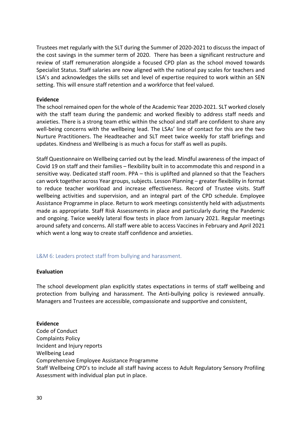Trustees met regularly with the SLT during the Summer of 2020-2021 to discuss the impact of the cost savings in the summer term of 2020. There has been a significant restructure and review of staff remuneration alongside a focused CPD plan as the school moved towards Specialist Status. Staff salaries are now aligned with the national pay scales for teachers and LSA's and acknowledges the skills set and level of expertise required to work within an SEN setting. This will ensure staff retention and a workforce that feel valued.

## **Evidence**

The school remained open for the whole of the Academic Year 2020-2021. SLT worked closely with the staff team during the pandemic and worked flexibly to address staff needs and anxieties. There is a strong team ethic within the school and staff are confident to share any well-being concerns with the wellbeing lead. The LSAs' line of contact for this are the two Nurture Practitioners. The Headteacher and SLT meet twice weekly for staff briefings and updates. Kindness and Wellbeing is as much a focus for staff as well as pupils.

Staff Questionnaire on Wellbeing carried out by the lead. Mindful awareness of the impact of Covid 19 on staff and their families – flexibility built in to accommodate this and respond in a sensitive way. Dedicated staff room. PPA – this is uplifted and planned so that the Teachers can work together across Year groups, subjects. Lesson Planning – greater flexibility in format to reduce teacher workload and increase effectiveness. Record of Trustee visits. Staff wellbeing activities and supervision, and an integral part of the CPD schedule. Employee Assistance Programme in place. Return to work meetings consistently held with adjustments made as appropriate. Staff Risk Assessments in place and particularly during the Pandemic and ongoing. Twice weekly lateral flow tests in place from January 2021. Regular meetings around safety and concerns. All staff were able to access Vaccines in February and April 2021 which went a long way to create staff confidence and anxieties.

# L&M 6: Leaders protect staff from bullying and harassment.

# **Evaluation**

The school development plan explicitly states expectations in terms of staff wellbeing and protection from bullying and harassment. The Anti-bullying policy is reviewed annually. Managers and Trustees are accessible, compassionate and supportive and consistent,

# **Evidence**

Code of Conduct Complaints Policy Incident and Injury reports Wellbeing Lead Comprehensive Employee Assistance Programme Staff Wellbeing CPD's to include all staff having access to Adult Regulatory Sensory Profiling Assessment with individual plan put in place.